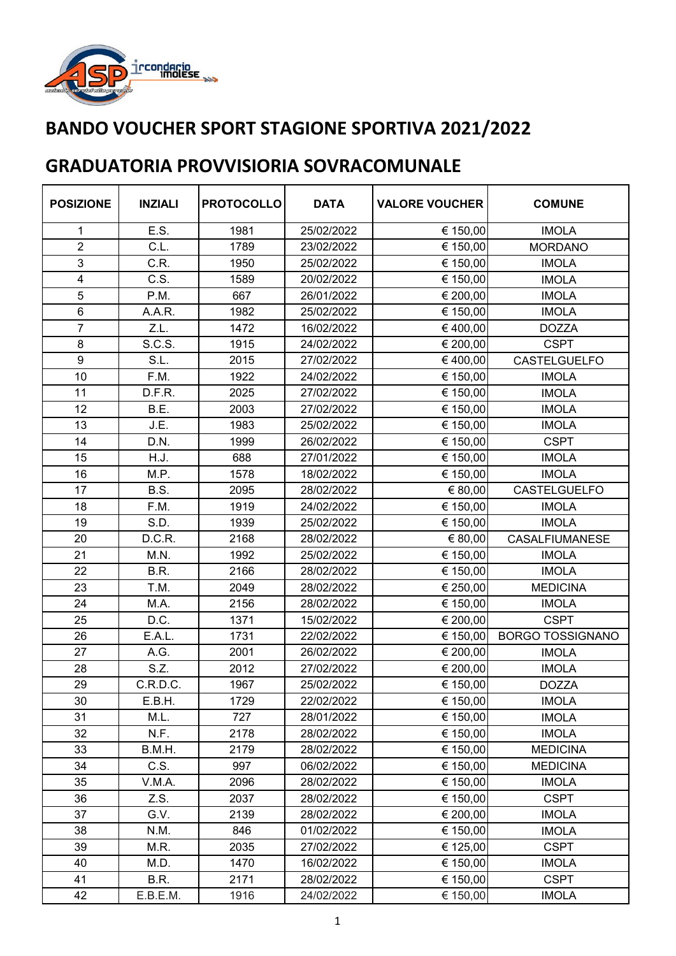

| <b>POSIZIONE</b>        | <b>INZIALI</b> | <b>PROTOCOLLO</b> | <b>DATA</b> | <b>VALORE VOUCHER</b> | <b>COMUNE</b>           |
|-------------------------|----------------|-------------------|-------------|-----------------------|-------------------------|
| 1                       | E.S.           | 1981              | 25/02/2022  | € 150,00              | <b>IMOLA</b>            |
| $\overline{2}$          | C.L.           | 1789              | 23/02/2022  | € 150,00              | <b>MORDANO</b>          |
| 3                       | C.R.           | 1950              | 25/02/2022  | € 150,00              | <b>IMOLA</b>            |
| $\overline{\mathbf{4}}$ | C.S.           | 1589              | 20/02/2022  | € 150,00              | <b>IMOLA</b>            |
| 5                       | P.M.           | 667               | 26/01/2022  | € 200,00              | <b>IMOLA</b>            |
| 6                       | A.A.R.         | 1982              | 25/02/2022  | € 150,00              | <b>IMOLA</b>            |
| $\overline{7}$          | Z.L.           | 1472              | 16/02/2022  | €400,00               | <b>DOZZA</b>            |
| 8                       | S.C.S.         | 1915              | 24/02/2022  | € 200,00              | <b>CSPT</b>             |
| 9                       | S.L.           | 2015              | 27/02/2022  | €400,00               | CASTELGUELFO            |
| 10                      | F.M.           | 1922              | 24/02/2022  | € 150,00              | <b>IMOLA</b>            |
| 11                      | D.F.R.         | 2025              | 27/02/2022  | € 150,00              | <b>IMOLA</b>            |
| 12                      | B.E.           | 2003              | 27/02/2022  | € 150,00              | <b>IMOLA</b>            |
| 13                      | J.E.           | 1983              | 25/02/2022  | € 150,00              | <b>IMOLA</b>            |
| 14                      | D.N.           | 1999              | 26/02/2022  | € 150,00              | <b>CSPT</b>             |
| 15                      | H.J.           | 688               | 27/01/2022  | € 150,00              | <b>IMOLA</b>            |
| 16                      | M.P.           | 1578              | 18/02/2022  | € 150,00              | <b>IMOLA</b>            |
| 17                      | B.S.           | 2095              | 28/02/2022  | € 80,00               | CASTELGUELFO            |
| 18                      | F.M.           | 1919              | 24/02/2022  | € 150,00              | <b>IMOLA</b>            |
| 19                      | S.D.           | 1939              | 25/02/2022  | € 150,00              | <b>IMOLA</b>            |
| 20                      | D.C.R.         | 2168              | 28/02/2022  | € 80,00               | <b>CASALFIUMANESE</b>   |
| 21                      | M.N.           | 1992              | 25/02/2022  | € 150,00              | <b>IMOLA</b>            |
| 22                      | B.R.           | 2166              | 28/02/2022  | € 150,00              | <b>IMOLA</b>            |
| 23                      | T.M.           | 2049              | 28/02/2022  | € 250,00              | <b>MEDICINA</b>         |
| 24                      | M.A.           | 2156              | 28/02/2022  | € 150,00              | <b>IMOLA</b>            |
| 25                      | D.C.           | 1371              | 15/02/2022  | € 200,00              | <b>CSPT</b>             |
| 26                      | E.A.L.         | 1731              | 22/02/2022  | € 150,00              | <b>BORGO TOSSIGNANO</b> |
| 27                      | A.G.           | 2001              | 26/02/2022  | € 200,00              | <b>IMOLA</b>            |
| 28                      | S.Z.           | 2012              | 27/02/2022  | € 200,00              | <b>IMOLA</b>            |
| 29                      | C.R.D.C.       | 1967              | 25/02/2022  | € 150,00              | <b>DOZZA</b>            |
| 30                      | E.B.H.         | 1729              | 22/02/2022  | € 150,00              | <b>IMOLA</b>            |
| 31                      | M.L.           | 727               | 28/01/2022  | € 150,00              | <b>IMOLA</b>            |
| 32                      | N.F.           | 2178              | 28/02/2022  | € 150,00              | <b>IMOLA</b>            |
| 33                      | B.M.H.         | 2179              | 28/02/2022  | € 150,00              | <b>MEDICINA</b>         |
| 34                      | C.S.           | 997               | 06/02/2022  | € 150,00              | <b>MEDICINA</b>         |
| 35                      | V.M.A.         | 2096              | 28/02/2022  | € 150,00              | <b>IMOLA</b>            |
| 36                      | Z.S.           | 2037              | 28/02/2022  | € 150,00              | <b>CSPT</b>             |
| 37                      | G.V.           | 2139              | 28/02/2022  | € 200,00              | <b>IMOLA</b>            |
| 38                      | N.M.           | 846               | 01/02/2022  | € 150,00              | <b>IMOLA</b>            |
| 39                      | M.R.           | 2035              | 27/02/2022  | € 125,00              | <b>CSPT</b>             |
| 40                      | M.D.           | 1470              | 16/02/2022  | € 150,00              | <b>IMOLA</b>            |
| 41                      | B.R.           | 2171              | 28/02/2022  | € 150,00              | <b>CSPT</b>             |
| 42                      | E.B.E.M.       | 1916              | 24/02/2022  | € 150,00              | <b>IMOLA</b>            |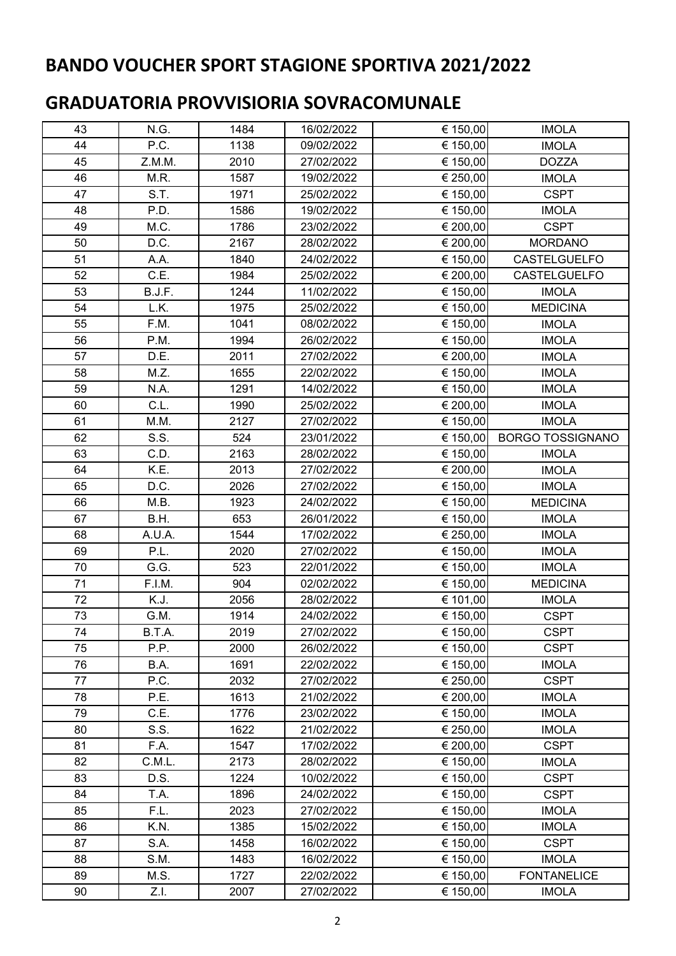| 43 | N.G.   | 1484 | 16/02/2022 | € 150,00 | <b>IMOLA</b>            |
|----|--------|------|------------|----------|-------------------------|
| 44 | P.C.   | 1138 | 09/02/2022 | € 150,00 | <b>IMOLA</b>            |
| 45 | Z.M.M. | 2010 | 27/02/2022 | € 150,00 | <b>DOZZA</b>            |
| 46 | M.R.   | 1587 | 19/02/2022 | € 250,00 | <b>IMOLA</b>            |
| 47 | S.T.   | 1971 | 25/02/2022 | € 150,00 | <b>CSPT</b>             |
| 48 | P.D.   | 1586 | 19/02/2022 | € 150,00 | <b>IMOLA</b>            |
| 49 | M.C.   | 1786 | 23/02/2022 | € 200,00 | <b>CSPT</b>             |
| 50 | D.C.   | 2167 | 28/02/2022 | € 200,00 | <b>MORDANO</b>          |
| 51 | A.A.   | 1840 | 24/02/2022 | € 150,00 | <b>CASTELGUELFO</b>     |
| 52 | C.E.   | 1984 | 25/02/2022 | € 200,00 | <b>CASTELGUELFO</b>     |
| 53 | B.J.F. | 1244 | 11/02/2022 | € 150,00 | <b>IMOLA</b>            |
| 54 | L.K.   | 1975 | 25/02/2022 | € 150,00 | <b>MEDICINA</b>         |
| 55 | F.M.   | 1041 | 08/02/2022 | € 150,00 | <b>IMOLA</b>            |
| 56 | P.M.   | 1994 | 26/02/2022 | € 150,00 | <b>IMOLA</b>            |
| 57 | D.E.   | 2011 | 27/02/2022 | € 200,00 | <b>IMOLA</b>            |
| 58 | M.Z.   | 1655 | 22/02/2022 | € 150,00 | <b>IMOLA</b>            |
| 59 | N.A.   | 1291 | 14/02/2022 | € 150,00 | <b>IMOLA</b>            |
| 60 | C.L.   | 1990 | 25/02/2022 | € 200,00 | <b>IMOLA</b>            |
| 61 | M.M.   | 2127 | 27/02/2022 | € 150,00 | <b>IMOLA</b>            |
| 62 | S.S.   | 524  | 23/01/2022 | € 150,00 | <b>BORGO TOSSIGNANO</b> |
| 63 | C.D.   | 2163 | 28/02/2022 | € 150,00 | <b>IMOLA</b>            |
| 64 | K.E.   | 2013 | 27/02/2022 | € 200,00 | <b>IMOLA</b>            |
| 65 | D.C.   | 2026 | 27/02/2022 | € 150,00 | <b>IMOLA</b>            |
| 66 | M.B.   | 1923 | 24/02/2022 | € 150,00 | <b>MEDICINA</b>         |
| 67 | B.H.   | 653  | 26/01/2022 | € 150,00 | <b>IMOLA</b>            |
| 68 | A.U.A. | 1544 | 17/02/2022 | € 250,00 | <b>IMOLA</b>            |
| 69 | P.L.   | 2020 | 27/02/2022 | € 150,00 | <b>IMOLA</b>            |
| 70 | G.G.   | 523  | 22/01/2022 | € 150,00 | <b>IMOLA</b>            |
| 71 | F.I.M. | 904  | 02/02/2022 | € 150,00 | <b>MEDICINA</b>         |
| 72 | K.J.   | 2056 | 28/02/2022 | € 101,00 | <b>IMOLA</b>            |
| 73 | G.M.   | 1914 | 24/02/2022 | € 150,00 | <b>CSPT</b>             |
| 74 | B.T.A. | 2019 | 27/02/2022 | € 150,00 | <b>CSPT</b>             |
| 75 | P.P.   | 2000 | 26/02/2022 | € 150,00 | <b>CSPT</b>             |
| 76 | B.A.   | 1691 | 22/02/2022 | € 150,00 | <b>IMOLA</b>            |
| 77 | P.C.   | 2032 | 27/02/2022 | € 250,00 | <b>CSPT</b>             |
| 78 | P.E.   | 1613 | 21/02/2022 | € 200,00 | <b>IMOLA</b>            |
| 79 | C.E.   | 1776 | 23/02/2022 | € 150,00 | <b>IMOLA</b>            |
| 80 | S.S.   | 1622 | 21/02/2022 | € 250,00 | <b>IMOLA</b>            |
| 81 | F.A.   | 1547 | 17/02/2022 | € 200,00 | <b>CSPT</b>             |
| 82 | C.M.L. | 2173 | 28/02/2022 | € 150,00 | <b>IMOLA</b>            |
| 83 | D.S.   | 1224 | 10/02/2022 | € 150,00 | <b>CSPT</b>             |
| 84 | T.A.   | 1896 | 24/02/2022 | € 150,00 | <b>CSPT</b>             |
| 85 | F.L.   | 2023 | 27/02/2022 | € 150,00 | <b>IMOLA</b>            |
| 86 | K.N.   | 1385 | 15/02/2022 | € 150,00 | <b>IMOLA</b>            |
| 87 | S.A.   | 1458 | 16/02/2022 | € 150,00 | <b>CSPT</b>             |
| 88 | S.M.   | 1483 | 16/02/2022 | € 150,00 | <b>IMOLA</b>            |
| 89 | M.S.   | 1727 | 22/02/2022 | € 150,00 | <b>FONTANELICE</b>      |
| 90 | Z.I.   | 2007 | 27/02/2022 | € 150,00 | <b>IMOLA</b>            |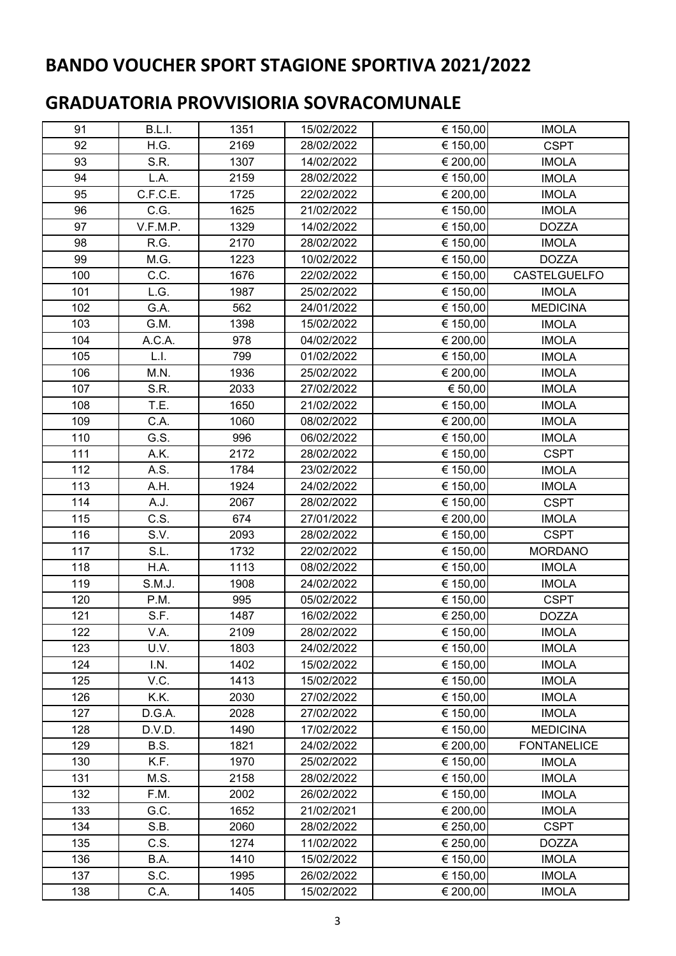| 91  | B.L.I.   | 1351 | 15/02/2022 | € 150,00 | <b>IMOLA</b>       |
|-----|----------|------|------------|----------|--------------------|
| 92  | H.G.     | 2169 | 28/02/2022 | € 150,00 | <b>CSPT</b>        |
| 93  | S.R.     | 1307 | 14/02/2022 | € 200,00 | <b>IMOLA</b>       |
| 94  | L.A.     | 2159 | 28/02/2022 | € 150,00 | <b>IMOLA</b>       |
| 95  | C.F.C.E. | 1725 | 22/02/2022 | € 200,00 | <b>IMOLA</b>       |
| 96  | C.G.     | 1625 | 21/02/2022 | € 150,00 | <b>IMOLA</b>       |
| 97  | V.F.M.P. | 1329 | 14/02/2022 | € 150,00 | <b>DOZZA</b>       |
| 98  | R.G.     | 2170 | 28/02/2022 | € 150,00 | <b>IMOLA</b>       |
| 99  | M.G.     | 1223 | 10/02/2022 | € 150,00 | <b>DOZZA</b>       |
| 100 | C.C.     | 1676 | 22/02/2022 | € 150,00 | CASTELGUELFO       |
| 101 | L.G.     | 1987 | 25/02/2022 | € 150,00 | <b>IMOLA</b>       |
| 102 | G.A.     | 562  | 24/01/2022 | € 150,00 | <b>MEDICINA</b>    |
| 103 | G.M.     | 1398 | 15/02/2022 | € 150,00 | <b>IMOLA</b>       |
| 104 | A.C.A.   | 978  | 04/02/2022 | € 200,00 | <b>IMOLA</b>       |
| 105 | L.I.     | 799  | 01/02/2022 | € 150,00 | <b>IMOLA</b>       |
| 106 | M.N.     | 1936 | 25/02/2022 | € 200,00 | <b>IMOLA</b>       |
| 107 | S.R.     | 2033 | 27/02/2022 | € 50,00  | <b>IMOLA</b>       |
| 108 | T.E.     | 1650 | 21/02/2022 | € 150,00 | <b>IMOLA</b>       |
| 109 | C.A.     | 1060 | 08/02/2022 | € 200,00 | <b>IMOLA</b>       |
| 110 | G.S.     | 996  | 06/02/2022 | € 150,00 | <b>IMOLA</b>       |
| 111 | A.K.     | 2172 | 28/02/2022 | € 150,00 | <b>CSPT</b>        |
| 112 | A.S.     | 1784 | 23/02/2022 | € 150,00 | <b>IMOLA</b>       |
| 113 | A.H.     | 1924 | 24/02/2022 | € 150,00 | <b>IMOLA</b>       |
| 114 | A.J.     | 2067 | 28/02/2022 | € 150,00 | <b>CSPT</b>        |
| 115 | C.S.     | 674  | 27/01/2022 | € 200,00 | <b>IMOLA</b>       |
| 116 | S.V.     | 2093 | 28/02/2022 | € 150,00 | <b>CSPT</b>        |
| 117 | S.L.     | 1732 | 22/02/2022 | € 150,00 | <b>MORDANO</b>     |
| 118 | H.A.     | 1113 | 08/02/2022 | € 150,00 | <b>IMOLA</b>       |
| 119 | S.M.J.   | 1908 | 24/02/2022 | € 150,00 | <b>IMOLA</b>       |
| 120 | P.M.     | 995  | 05/02/2022 | € 150,00 | <b>CSPT</b>        |
| 121 | S.F.     | 1487 | 16/02/2022 | € 250,00 | <b>DOZZA</b>       |
| 122 | V.A.     | 2109 | 28/02/2022 | € 150,00 | <b>IMOLA</b>       |
| 123 | U.V.     | 1803 | 24/02/2022 | € 150,00 | <b>IMOLA</b>       |
| 124 | I.N.     | 1402 | 15/02/2022 | € 150,00 | <b>IMOLA</b>       |
| 125 | V.C.     | 1413 | 15/02/2022 | € 150,00 | <b>IMOLA</b>       |
| 126 | K.K.     | 2030 | 27/02/2022 | € 150,00 | <b>IMOLA</b>       |
| 127 | D.G.A.   | 2028 | 27/02/2022 | € 150,00 | <b>IMOLA</b>       |
| 128 | D.V.D.   | 1490 | 17/02/2022 | € 150,00 | <b>MEDICINA</b>    |
| 129 | B.S.     | 1821 | 24/02/2022 | € 200,00 | <b>FONTANELICE</b> |
| 130 | K.F.     | 1970 | 25/02/2022 | € 150,00 | <b>IMOLA</b>       |
| 131 | M.S.     | 2158 | 28/02/2022 | € 150,00 | <b>IMOLA</b>       |
| 132 | F.M.     | 2002 | 26/02/2022 | € 150,00 | <b>IMOLA</b>       |
| 133 | G.C.     | 1652 | 21/02/2021 | € 200,00 | <b>IMOLA</b>       |
| 134 | S.B.     | 2060 | 28/02/2022 | € 250,00 | <b>CSPT</b>        |
| 135 | C.S.     | 1274 | 11/02/2022 | € 250,00 | <b>DOZZA</b>       |
| 136 | B.A.     | 1410 | 15/02/2022 | € 150,00 | <b>IMOLA</b>       |
| 137 | S.C.     | 1995 | 26/02/2022 | € 150,00 | <b>IMOLA</b>       |
| 138 | C.A.     | 1405 | 15/02/2022 | € 200,00 | <b>IMOLA</b>       |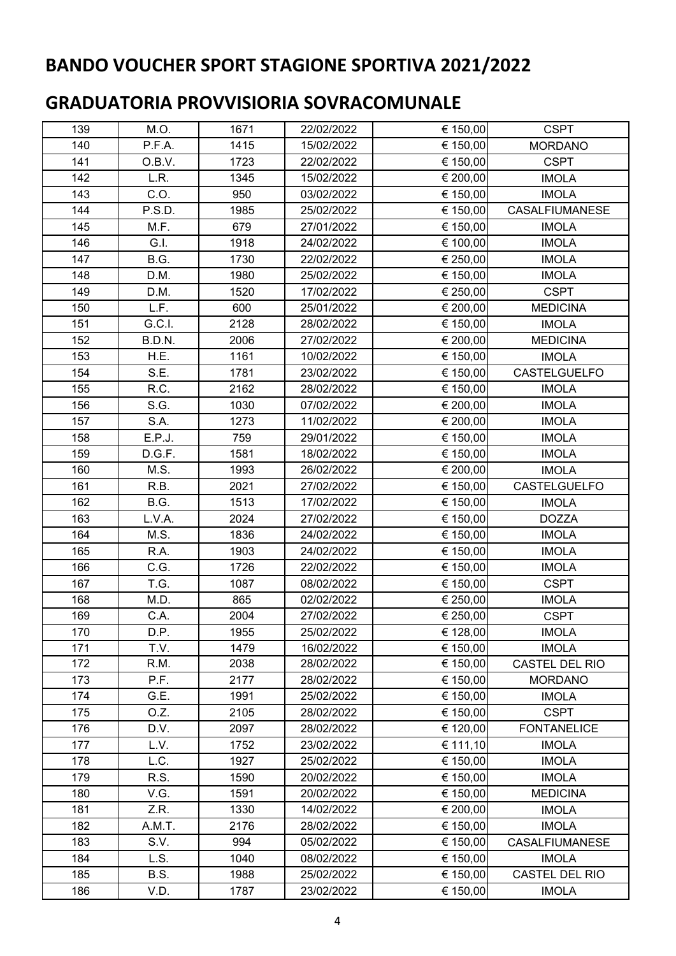| 139 | M.O.   | 1671 | 22/02/2022 | € 150,00 | <b>CSPT</b>           |
|-----|--------|------|------------|----------|-----------------------|
| 140 | P.F.A. | 1415 | 15/02/2022 | € 150,00 | <b>MORDANO</b>        |
| 141 | O.B.V. | 1723 | 22/02/2022 | € 150,00 | <b>CSPT</b>           |
| 142 | L.R.   | 1345 | 15/02/2022 | € 200,00 | <b>IMOLA</b>          |
| 143 | C.O.   | 950  | 03/02/2022 | € 150,00 | <b>IMOLA</b>          |
| 144 | P.S.D. | 1985 | 25/02/2022 | € 150,00 | <b>CASALFIUMANESE</b> |
| 145 | M.F.   | 679  | 27/01/2022 | € 150,00 | <b>IMOLA</b>          |
| 146 | G.I.   | 1918 | 24/02/2022 | € 100,00 | <b>IMOLA</b>          |
| 147 | B.G.   | 1730 | 22/02/2022 | € 250,00 | <b>IMOLA</b>          |
| 148 | D.M.   | 1980 | 25/02/2022 | € 150,00 | <b>IMOLA</b>          |
| 149 | D.M.   | 1520 | 17/02/2022 | € 250,00 | <b>CSPT</b>           |
| 150 | L.F.   | 600  | 25/01/2022 | € 200,00 | <b>MEDICINA</b>       |
| 151 | G.C.I. | 2128 | 28/02/2022 | € 150,00 | <b>IMOLA</b>          |
| 152 | B.D.N. | 2006 | 27/02/2022 | € 200,00 | <b>MEDICINA</b>       |
| 153 | H.E.   | 1161 | 10/02/2022 | € 150,00 | <b>IMOLA</b>          |
| 154 | S.E.   | 1781 | 23/02/2022 | € 150,00 | <b>CASTELGUELFO</b>   |
| 155 | R.C.   | 2162 | 28/02/2022 | € 150,00 | <b>IMOLA</b>          |
| 156 | S.G.   | 1030 | 07/02/2022 | € 200,00 | <b>IMOLA</b>          |
| 157 | S.A.   | 1273 | 11/02/2022 | € 200,00 | <b>IMOLA</b>          |
| 158 | E.P.J. | 759  | 29/01/2022 | € 150,00 | <b>IMOLA</b>          |
| 159 | D.G.F. | 1581 | 18/02/2022 | € 150,00 | <b>IMOLA</b>          |
| 160 | M.S.   | 1993 | 26/02/2022 | € 200,00 | <b>IMOLA</b>          |
| 161 | R.B.   | 2021 | 27/02/2022 | € 150,00 | CASTELGUELFO          |
| 162 | B.G.   | 1513 | 17/02/2022 | € 150,00 | <b>IMOLA</b>          |
| 163 | L.V.A. | 2024 | 27/02/2022 | € 150,00 | <b>DOZZA</b>          |
| 164 | M.S.   | 1836 | 24/02/2022 | € 150,00 | <b>IMOLA</b>          |
| 165 | R.A.   | 1903 | 24/02/2022 | € 150,00 | <b>IMOLA</b>          |
| 166 | C.G.   | 1726 | 22/02/2022 | € 150,00 | <b>IMOLA</b>          |
| 167 | T.G.   | 1087 | 08/02/2022 | € 150,00 | <b>CSPT</b>           |
| 168 | M.D.   | 865  | 02/02/2022 | € 250,00 | <b>IMOLA</b>          |
| 169 | C.A.   | 2004 | 27/02/2022 | € 250,00 | <b>CSPT</b>           |
| 170 | D.P.   | 1955 | 25/02/2022 | € 128,00 | <b>IMOLA</b>          |
| 171 | T.V.   | 1479 | 16/02/2022 | € 150,00 | <b>IMOLA</b>          |
| 172 | R.M.   | 2038 | 28/02/2022 | € 150,00 | CASTEL DEL RIO        |
| 173 | P.F.   | 2177 | 28/02/2022 | € 150,00 | <b>MORDANO</b>        |
| 174 | G.E.   | 1991 | 25/02/2022 | € 150,00 | <b>IMOLA</b>          |
| 175 | O.Z.   | 2105 | 28/02/2022 | € 150,00 | <b>CSPT</b>           |
| 176 | D.V.   | 2097 | 28/02/2022 | € 120,00 | <b>FONTANELICE</b>    |
| 177 | L.V.   | 1752 | 23/02/2022 | € 111,10 | <b>IMOLA</b>          |
| 178 | L.C.   | 1927 | 25/02/2022 | € 150,00 | <b>IMOLA</b>          |
| 179 | R.S.   | 1590 | 20/02/2022 | € 150,00 | <b>IMOLA</b>          |
| 180 | V.G.   | 1591 | 20/02/2022 | € 150,00 | <b>MEDICINA</b>       |
| 181 | Z.R.   | 1330 | 14/02/2022 | € 200,00 | <b>IMOLA</b>          |
| 182 | A.M.T. | 2176 | 28/02/2022 | € 150,00 | <b>IMOLA</b>          |
| 183 | S.V.   | 994  | 05/02/2022 | € 150,00 | <b>CASALFIUMANESE</b> |
| 184 | L.S.   | 1040 | 08/02/2022 | € 150,00 | <b>IMOLA</b>          |
| 185 | B.S.   | 1988 | 25/02/2022 | € 150,00 | CASTEL DEL RIO        |
| 186 | V.D.   | 1787 | 23/02/2022 | € 150,00 | <b>IMOLA</b>          |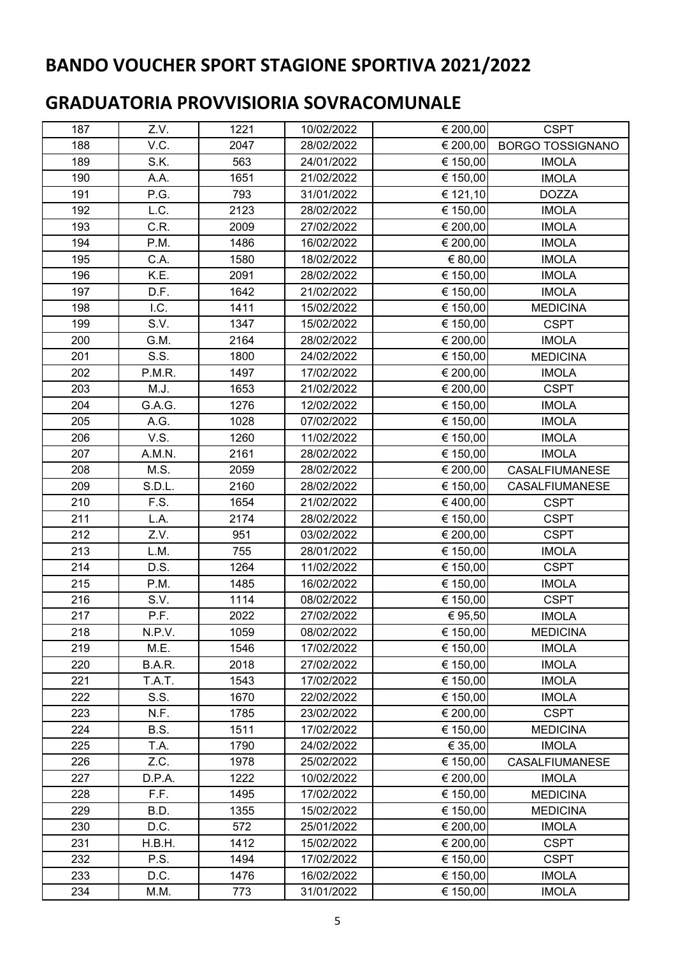| 187 | Z.V.   | 1221 | 10/02/2022 | € 200,00 | <b>CSPT</b>             |
|-----|--------|------|------------|----------|-------------------------|
| 188 | V.C.   | 2047 | 28/02/2022 | € 200,00 | <b>BORGO TOSSIGNANO</b> |
| 189 | S.K.   | 563  | 24/01/2022 | € 150,00 | <b>IMOLA</b>            |
| 190 | A.A.   | 1651 | 21/02/2022 | € 150,00 | <b>IMOLA</b>            |
| 191 | P.G.   | 793  | 31/01/2022 | € 121,10 | <b>DOZZA</b>            |
| 192 | L.C.   | 2123 | 28/02/2022 | € 150,00 | <b>IMOLA</b>            |
| 193 | C.R.   | 2009 | 27/02/2022 | € 200,00 | <b>IMOLA</b>            |
| 194 | P.M.   | 1486 | 16/02/2022 | € 200,00 | <b>IMOLA</b>            |
| 195 | C.A.   | 1580 | 18/02/2022 | € 80,00  | <b>IMOLA</b>            |
| 196 | K.E.   | 2091 | 28/02/2022 | € 150,00 | <b>IMOLA</b>            |
| 197 | D.F.   | 1642 | 21/02/2022 | € 150,00 | <b>IMOLA</b>            |
| 198 | I.C.   | 1411 | 15/02/2022 | € 150,00 | <b>MEDICINA</b>         |
| 199 | S.V.   | 1347 | 15/02/2022 | € 150,00 | <b>CSPT</b>             |
| 200 | G.M.   | 2164 | 28/02/2022 | € 200,00 | <b>IMOLA</b>            |
| 201 | S.S.   | 1800 | 24/02/2022 | € 150,00 | <b>MEDICINA</b>         |
| 202 | P.M.R. | 1497 | 17/02/2022 | € 200,00 | <b>IMOLA</b>            |
| 203 | M.J.   | 1653 | 21/02/2022 | € 200,00 | <b>CSPT</b>             |
| 204 | G.A.G. | 1276 | 12/02/2022 | € 150,00 | <b>IMOLA</b>            |
| 205 | A.G.   | 1028 | 07/02/2022 | € 150,00 | <b>IMOLA</b>            |
| 206 | V.S.   | 1260 | 11/02/2022 | € 150,00 | <b>IMOLA</b>            |
| 207 | A.M.N. | 2161 | 28/02/2022 | € 150,00 | <b>IMOLA</b>            |
| 208 | M.S.   | 2059 | 28/02/2022 | € 200,00 | <b>CASALFIUMANESE</b>   |
| 209 | S.D.L. | 2160 | 28/02/2022 | € 150,00 | <b>CASALFIUMANESE</b>   |
| 210 | F.S.   | 1654 | 21/02/2022 | €400,00  | <b>CSPT</b>             |
| 211 | L.A.   | 2174 | 28/02/2022 | € 150,00 | <b>CSPT</b>             |
| 212 | Z.V.   | 951  | 03/02/2022 | € 200,00 | <b>CSPT</b>             |
| 213 | L.M.   | 755  | 28/01/2022 | € 150,00 | <b>IMOLA</b>            |
| 214 | D.S.   | 1264 | 11/02/2022 | € 150,00 | <b>CSPT</b>             |
| 215 | P.M.   | 1485 | 16/02/2022 | € 150,00 | <b>IMOLA</b>            |
| 216 | S.V.   | 1114 | 08/02/2022 | € 150,00 | <b>CSPT</b>             |
| 217 | P.F.   | 2022 | 27/02/2022 | € 95,50  | <b>IMOLA</b>            |
| 218 | N.P.V. | 1059 | 08/02/2022 | € 150,00 | <b>MEDICINA</b>         |
| 219 | M.E.   | 1546 | 17/02/2022 | € 150,00 | <b>IMOLA</b>            |
| 220 | B.A.R. | 2018 | 27/02/2022 | € 150,00 | <b>IMOLA</b>            |
| 221 | T.A.T. | 1543 | 17/02/2022 | € 150,00 | <b>IMOLA</b>            |
| 222 | S.S.   | 1670 | 22/02/2022 | € 150,00 | <b>IMOLA</b>            |
| 223 | N.F.   | 1785 | 23/02/2022 | € 200,00 | <b>CSPT</b>             |
| 224 | B.S.   | 1511 | 17/02/2022 | € 150,00 | <b>MEDICINA</b>         |
| 225 | T.A.   | 1790 | 24/02/2022 | € 35,00  | <b>IMOLA</b>            |
| 226 | Z.C.   | 1978 | 25/02/2022 | € 150,00 | <b>CASALFIUMANESE</b>   |
| 227 | D.P.A. | 1222 | 10/02/2022 | € 200,00 | <b>IMOLA</b>            |
| 228 | F.F.   | 1495 | 17/02/2022 | € 150,00 | <b>MEDICINA</b>         |
| 229 | B.D.   | 1355 | 15/02/2022 | € 150,00 | <b>MEDICINA</b>         |
| 230 | D.C.   | 572  | 25/01/2022 | € 200,00 | <b>IMOLA</b>            |
| 231 | H.B.H. | 1412 | 15/02/2022 | € 200,00 | <b>CSPT</b>             |
| 232 | P.S.   | 1494 | 17/02/2022 | € 150,00 | <b>CSPT</b>             |
| 233 | D.C.   | 1476 | 16/02/2022 | € 150,00 | <b>IMOLA</b>            |
| 234 | M.M.   | 773  | 31/01/2022 | € 150,00 | <b>IMOLA</b>            |